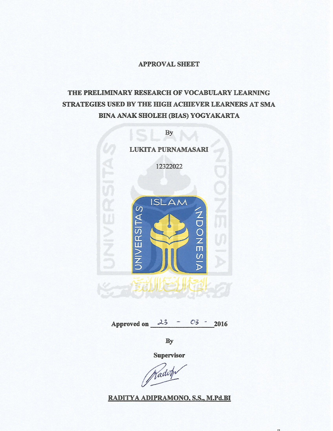#### **APPROVAL SHEET**

# THE PRELIMINARY RESEARCH OF VOCABULARY LEARNING STRATEGIES USED BY THE HIGH ACHIEVER LEARNERS AT SMA **BINA ANAK SHOLEH (BIAS) YOGYAKARTA**



Approved on  $23 - 03$ 2016

By

Supervisor

Nadot

RADITYA ADIPRAMONO, S.S., M.Pd.BI

 $\mathbf{H}$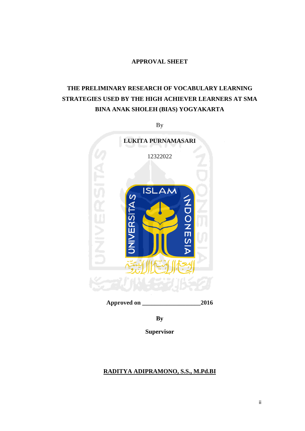## **APPROVAL SHEET**

# **THE PRELIMINARY RESEARCH OF VOCABULARY LEARNING STRATEGIES USED BY THE HIGH ACHIEVER LEARNERS AT SMA BINA ANAK SHOLEH (BIAS) YOGYAKARTA**

By



**Approved on \_\_\_\_\_\_\_\_\_\_\_\_\_\_\_\_\_\_\_2016**

**By** 

**Supervisor** 

## **RADITYA ADIPRAMONO, S.S., M.Pd.BI**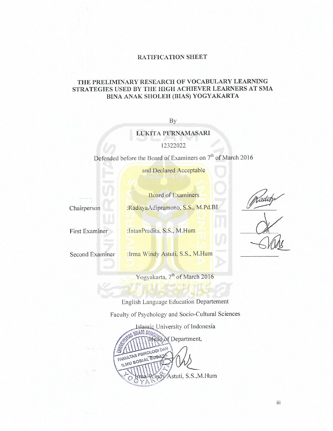#### RATIFICATION SHEET

### THE PRELIMINARY RESEARCH OF VOCABULARY LEARNING STRATEGIES USED BY THE HIGH ACHIEVER LEARNERS AT SMA BINA ANAK SHOLEH (BIAS) YOGYAKARTA

By

### LUKITA PURNAMASARI

12322022

Defended before the Board of Examiners on 7<sup>th</sup> of March 2016

and Declared Acceptable

Chairperson

First Examiner

Second Examiner

**Board of Examiners** 

:RadityaAdipramono, S.S., M.Pd.BI

:IntanPradita, S.S., M.Hum

: Irma Windy Astuti, S.S., M.Hum

Yogyakarta, 7<sup>th</sup> of March 2016

English Language Education Departement

Faculty of Psychology and Socio-Cultural Sciences

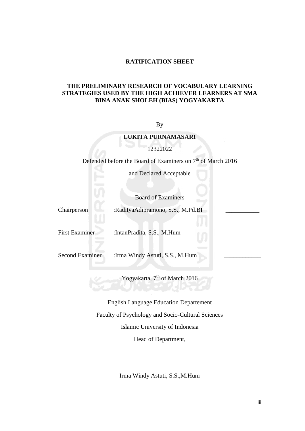#### **RATIFICATION SHEET**

#### **THE PRELIMINARY RESEARCH OF VOCABULARY LEARNING STRATEGIES USED BY THE HIGH ACHIEVER LEARNERS AT SMA BINA ANAK SHOLEH (BIAS) YOGYAKARTA**

By

### **LUKITA PURNAMASARI**

12322022

Defended before the Board of Examiners on 7<sup>th</sup> of March 2016

and Declared Acceptable

Board of Examiners

Chairperson :RadityaAdipramono, S.S., M.Pd.BI

First Examiner :IntanPradita, S.S., M.Hum

Second Examiner :Irma Windy Astuti, S.S., M.Hum

Yogyakarta, 7<sup>th</sup> of March 2016

English Language Education Departement Faculty of Psychology and Socio-Cultural Sciences Islamic University of Indonesia Head of Department,

Irma Windy Astuti, S.S.,M.Hum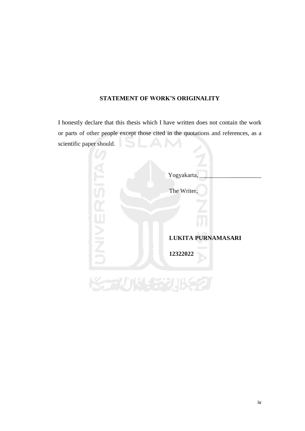## **STATEMENT OF WORK'S ORIGINALITY**

I honestly declare that this thesis which I have written does not contain the work or parts of other people except those cited in the quotations and references, as a scientific paper should.

| Yogyakarta,        |
|--------------------|
| The Writer,        |
|                    |
|                    |
| LUKITA PURNAMASARI |
| 12322022           |
|                    |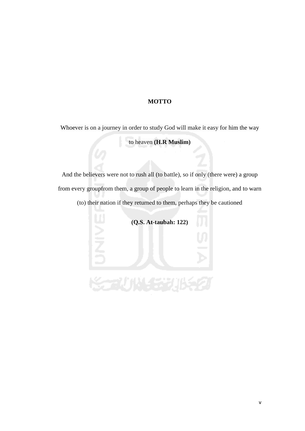## **MOTTO**

Whoever is on a journey in order to study God will make it easy for him the way

to heaven **(H.R Muslim)**

And the believers were not to rush all (to battle), so if only (there were) a group from every groupfrom them, a group of people to learn in the religion, and to warn (to) their nation if they returned to them, perhaps they be cautioned

**(Q.S. At-taubah: 122)**

المنازع فالألاد والمستعملة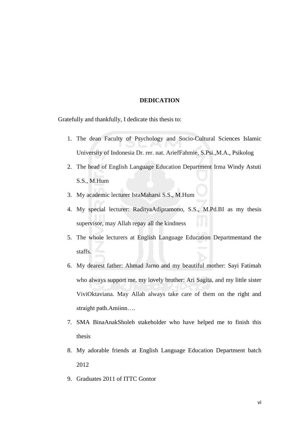#### **DEDICATION**

Gratefully and thankfully, I dedicate this thesis to:

- 1. The dean Faculty of Psychology and Socio-Cultural Sciences Islamic University of Indonesia Dr. rer. nat. AriefFahmie, S.Psi.,M.A., Psikolog
- 2. The head of English Language Education Department Irma Windy Astuti S.S., M.Hum
- 3. My academic lecturer IstaMaharsi S.S., M.Hum
- 4. My special lecturer: RadityaAdipramono, S.S., M.Pd.BI as my thesis supervisor, may Allah repay all the kindness
- 5. The whole lecturers at English Language Education Departmentand the staffs.
- 6. My dearest father: Ahmad Jarno and my beautiful mother: Sayi Fatimah who always support me, my lovely brother: Ari Sagita, and my little sister ViviOktaviana. May Allah always take care of them on the right and straight path.Amiinn….
- 7. SMA BinaAnakSholeh stakeholder who have helped me to finish this thesis
- 8. My adorable friends at English Language Education Department batch 2012
- 9. Graduates 2011 of ITTC Gontor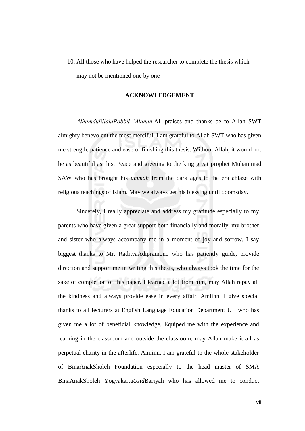10. All those who have helped the researcher to complete the thesis which may not be mentioned one by one

#### **ACKNOWLEDGEMENT**

*AlhamdulillahiRobbil 'Alamin,*All praises and thanks be to Allah SWT almighty benevolent the most merciful, I am grateful to Allah SWT who has given me strength, patience and ease of finishing this thesis. Without Allah, it would not be as beautiful as this. Peace and greeting to the king great prophet Muhammad SAW who has brought his *ummah* from the dark ages to the era ablaze with religious teachings of Islam. May we always get his blessing until doomsday.

Sincerely, I really appreciate and address my gratitude especially to my parents who have given a great support both financially and morally, my brother and sister who always accompany me in a moment of joy and sorrow. I say biggest thanks to Mr. RadityaAdipramono who has patiently guide, provide direction and support me in writing this thesis, who always took the time for the sake of completion of this paper. I learned a lot from him, may Allah repay all the kindness and always provide ease in every affair. Amiinn. I give special thanks to all lecturers at English Language Education Department UII who has given me a lot of beneficial knowledge, Equiped me with the experience and learning in the classroom and outside the classroom, may Allah make it all as perpetual charity in the afterlife. Amiinn. I am grateful to the whole stakeholder of BinaAnakSholeh Foundation especially to the head master of SMA BinaAnakSholeh Yogyakarta*Ustd*Bariyah who has allowed me to conduct